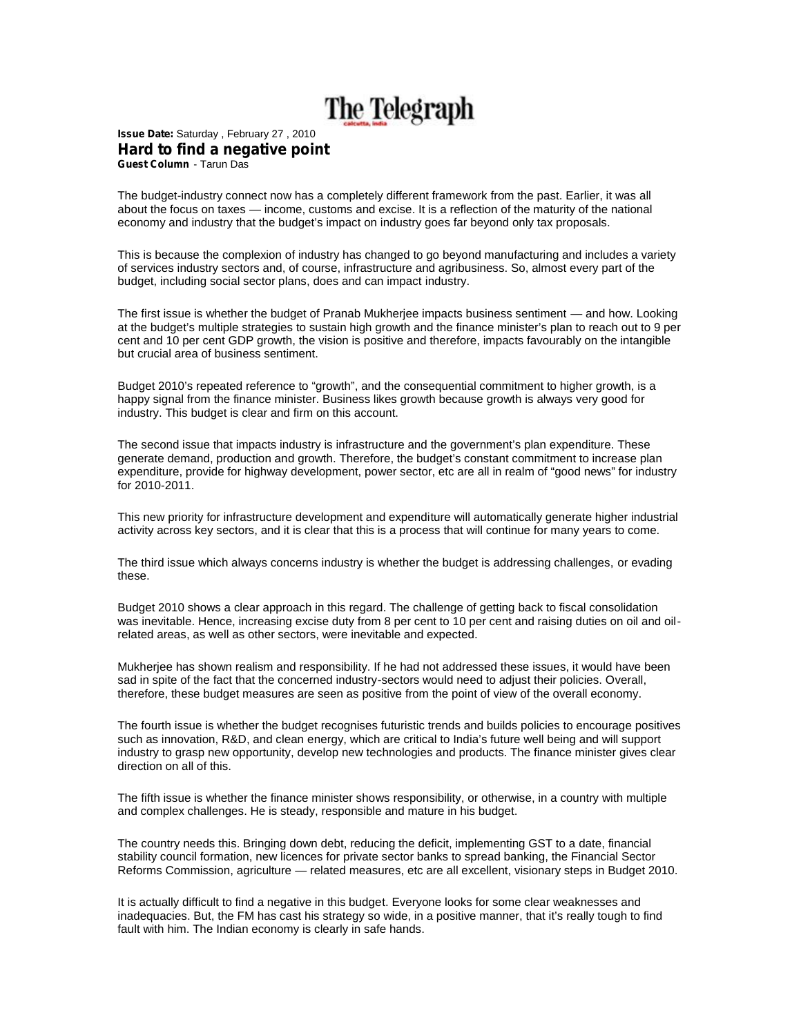## The Telegraph

**Issue Date:** Saturday , February 27 , 2010 **Hard to find a negative point Guest Column** - Tarun Das

The budget-industry connect now has a completely different framework from the past. Earlier, it was all about the focus on taxes — income, customs and excise. It is a reflection of the maturity of the national economy and industry that the budget's impact on industry goes far beyond only tax proposals.

This is because the complexion of industry has changed to go beyond manufacturing and includes a variety of services industry sectors and, of course, infrastructure and agribusiness. So, almost every part of the budget, including social sector plans, does and can impact industry.

The first issue is whether the budget of Pranab Mukherjee impacts business sentiment — and how. Looking at the budget's multiple strategies to sustain high growth and the finance minister's plan to reach out to 9 per cent and 10 per cent GDP growth, the vision is positive and therefore, impacts favourably on the intangible but crucial area of business sentiment.

Budget 2010's repeated reference to "growth", and the consequential commitment to higher growth, is a happy signal from the finance minister. Business likes growth because growth is always very good for industry. This budget is clear and firm on this account.

The second issue that impacts industry is infrastructure and the government's plan expenditure. These generate demand, production and growth. Therefore, the budget's constant commitment to increase plan expenditure, provide for highway development, power sector, etc are all in realm of "good news" for industry for 2010-2011.

This new priority for infrastructure development and expenditure will automatically generate higher industrial activity across key sectors, and it is clear that this is a process that will continue for many years to come.

The third issue which always concerns industry is whether the budget is addressing challenges, or evading these.

Budget 2010 shows a clear approach in this regard. The challenge of getting back to fiscal consolidation was inevitable. Hence, increasing excise duty from 8 per cent to 10 per cent and raising duties on oil and oilrelated areas, as well as other sectors, were inevitable and expected.

Mukherjee has shown realism and responsibility. If he had not addressed these issues, it would have been sad in spite of the fact that the concerned industry-sectors would need to adjust their policies. Overall, therefore, these budget measures are seen as positive from the point of view of the overall economy.

The fourth issue is whether the budget recognises futuristic trends and builds policies to encourage positives such as innovation, R&D, and clean energy, which are critical to India's future well being and will support industry to grasp new opportunity, develop new technologies and products. The finance minister gives clear direction on all of this.

The fifth issue is whether the finance minister shows responsibility, or otherwise, in a country with multiple and complex challenges. He is steady, responsible and mature in his budget.

The country needs this. Bringing down debt, reducing the deficit, implementing GST to a date, financial stability council formation, new licences for private sector banks to spread banking, the Financial Sector Reforms Commission, agriculture — related measures, etc are all excellent, visionary steps in Budget 2010.

It is actually difficult to find a negative in this budget. Everyone looks for some clear weaknesses and inadequacies. But, the FM has cast his strategy so wide, in a positive manner, that it's really tough to find fault with him. The Indian economy is clearly in safe hands.